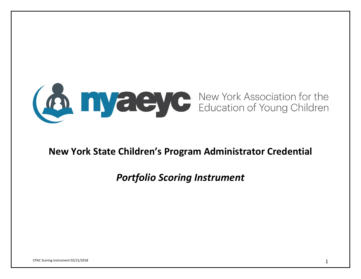

## **New York State Children's Program Administrator Credential**

# *Portfolio Scoring Instrument*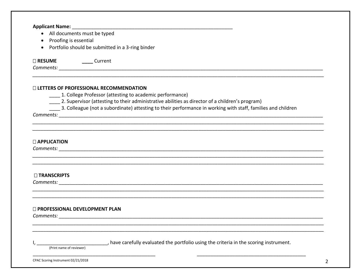| • All documents must be typed                                 |                                                                                                                                                                 |  |
|---------------------------------------------------------------|-----------------------------------------------------------------------------------------------------------------------------------------------------------------|--|
| Proofing is essential<br>$\bullet$                            |                                                                                                                                                                 |  |
| Portfolio should be submitted in a 3-ring binder<br>$\bullet$ |                                                                                                                                                                 |  |
|                                                               |                                                                                                                                                                 |  |
| □ RESUME _______ Current                                      |                                                                                                                                                                 |  |
|                                                               |                                                                                                                                                                 |  |
|                                                               |                                                                                                                                                                 |  |
| □ LETTERS OF PROFESSIONAL RECOMMENDATION                      |                                                                                                                                                                 |  |
|                                                               | ___ 1. College Professor (attesting to academic performance)<br>2. Supervisor (attesting to their administrative abilities as director of a children's program) |  |
|                                                               | _____ 3. Colleague (not a subordinate) attesting to their performance in working with staff, families and children                                              |  |
|                                                               |                                                                                                                                                                 |  |
|                                                               |                                                                                                                                                                 |  |
|                                                               |                                                                                                                                                                 |  |
|                                                               |                                                                                                                                                                 |  |
|                                                               |                                                                                                                                                                 |  |
|                                                               |                                                                                                                                                                 |  |
|                                                               |                                                                                                                                                                 |  |
|                                                               |                                                                                                                                                                 |  |
|                                                               |                                                                                                                                                                 |  |
|                                                               |                                                                                                                                                                 |  |
| <b>DAPPLICATION</b><br>□ TRANSCRIPTS                          |                                                                                                                                                                 |  |
|                                                               | <b>Comments:</b> Comments: 2004 <b>Comments:</b> 2004 <b>Comments: 2006</b>                                                                                     |  |
|                                                               |                                                                                                                                                                 |  |
|                                                               |                                                                                                                                                                 |  |
| <b>D</b> PROFESSIONAL DEVELOPMENT PLAN                        |                                                                                                                                                                 |  |
|                                                               |                                                                                                                                                                 |  |
| Comments:                                                     |                                                                                                                                                                 |  |
|                                                               |                                                                                                                                                                 |  |
|                                                               | , have carefully evaluated the portfolio using the criteria in the scoring instrument.                                                                          |  |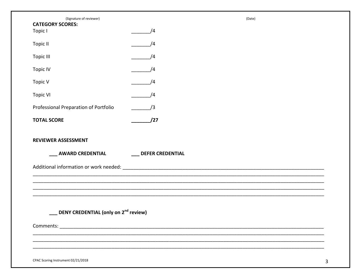| (Signature of reviewer)                          |                         | (Date) |   |
|--------------------------------------------------|-------------------------|--------|---|
| <b>CATEGORY SCORES:</b><br>Topic I               | /4                      |        |   |
| Topic II                                         | /4                      |        |   |
| Topic III                                        | /4                      |        |   |
| <b>Topic IV</b>                                  | /4                      |        |   |
| Topic V                                          | /4                      |        |   |
| <b>Topic VI</b>                                  | /4                      |        |   |
| Professional Preparation of Portfolio            | /3                      |        |   |
| <b>TOTAL SCORE</b>                               | /27                     |        |   |
|                                                  |                         |        |   |
| <b>REVIEWER ASSESSMENT</b>                       |                         |        |   |
| <b>AWARD CREDENTIAL</b>                          | <b>DEFER CREDENTIAL</b> |        |   |
|                                                  |                         |        |   |
|                                                  |                         |        |   |
|                                                  |                         |        |   |
|                                                  |                         |        |   |
| DENY CREDENTIAL (only on 2 <sup>nd</sup> review) |                         |        |   |
|                                                  |                         |        |   |
|                                                  |                         |        |   |
|                                                  |                         |        |   |
| CPAC Scoring Instrument 02/21/2018               |                         |        | 3 |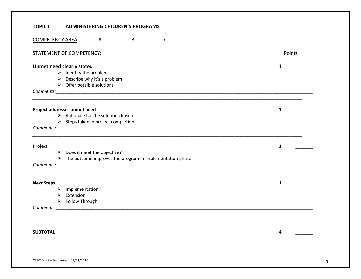#### **TOPIC I: ADMINISTERING CHILDREN'S PROGRAMS**

| <b>COMPETENCY AREA</b>           |                     | $\mathsf{A}$                                       | B | $\mathsf C$                                                                                                                                                                                                                         |              |        |  |
|----------------------------------|---------------------|----------------------------------------------------|---|-------------------------------------------------------------------------------------------------------------------------------------------------------------------------------------------------------------------------------------|--------------|--------|--|
| <b>STATEMENT OF COMPETENCY:</b>  |                     |                                                    |   |                                                                                                                                                                                                                                     |              | Points |  |
| <b>Unmet need clearly stated</b> |                     |                                                    |   |                                                                                                                                                                                                                                     | $\mathbf{1}$ |        |  |
|                                  |                     | $\triangleright$ Identify the problem              |   |                                                                                                                                                                                                                                     |              |        |  |
|                                  |                     | Describe why it's a problem                        |   |                                                                                                                                                                                                                                     |              |        |  |
|                                  |                     | $\triangleright$ Offer possible solutions          |   |                                                                                                                                                                                                                                     |              |        |  |
|                                  |                     |                                                    |   |                                                                                                                                                                                                                                     |              |        |  |
| Project addresses unmet need     |                     |                                                    |   |                                                                                                                                                                                                                                     | $\mathbf{1}$ |        |  |
|                                  |                     | $\triangleright$ Rationale for the solution chosen |   |                                                                                                                                                                                                                                     |              |        |  |
|                                  |                     | $\triangleright$ Steps taken in project completion |   |                                                                                                                                                                                                                                     |              |        |  |
|                                  |                     |                                                    |   |                                                                                                                                                                                                                                     |              |        |  |
| Project                          |                     |                                                    |   |                                                                                                                                                                                                                                     | $\mathbf{1}$ |        |  |
|                                  |                     | $\triangleright$ Does it meet the objective?       |   |                                                                                                                                                                                                                                     |              |        |  |
|                                  |                     |                                                    |   | $\triangleright$ The outcome improves the program in implementation phase                                                                                                                                                           |              |        |  |
|                                  |                     |                                                    |   |                                                                                                                                                                                                                                     |              |        |  |
| <b>Next Steps</b>                |                     |                                                    |   |                                                                                                                                                                                                                                     | 1            |        |  |
|                                  | Implementation<br>➤ |                                                    |   |                                                                                                                                                                                                                                     |              |        |  |
|                                  | Extension           |                                                    |   |                                                                                                                                                                                                                                     |              |        |  |
|                                  | > Follow Through    |                                                    |   |                                                                                                                                                                                                                                     |              |        |  |
|                                  |                     |                                                    |   | <b>Comments:</b> Comments: 2008. The Comments of the Comments of the Comments: 2008. The Comments: 2008. The Comments of the Comments of the Comments of the Comments of the Comments of the Comments of the Comments of the Commen |              |        |  |
|                                  |                     |                                                    |   |                                                                                                                                                                                                                                     |              |        |  |
| <b>SUBTOTAL</b>                  |                     |                                                    |   |                                                                                                                                                                                                                                     | 4            |        |  |
|                                  |                     |                                                    |   |                                                                                                                                                                                                                                     |              |        |  |
|                                  |                     |                                                    |   |                                                                                                                                                                                                                                     |              |        |  |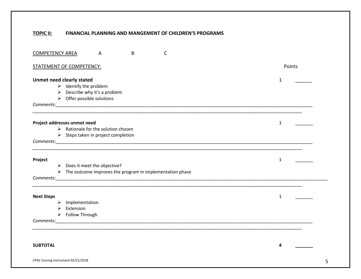#### **TOPIC II: FINANCIAL PLANNING AND MANGEMENT OF CHILDREN'S PROGRAMS**

| B<br>$\mathsf{C}$<br><b>COMPETENCY AREA</b><br>A                          |              |
|---------------------------------------------------------------------------|--------------|
| <b>STATEMENT OF COMPETENCY:</b>                                           | Points       |
| <b>Unmet need clearly stated</b>                                          | $\mathbf 1$  |
| $\triangleright$ Identify the problem                                     |              |
| $\triangleright$ Describe why it's a problem                              |              |
| $\triangleright$ Offer possible solutions                                 |              |
|                                                                           |              |
| Project addresses unmet need                                              | $\mathbf{1}$ |
| $\triangleright$ Rationale for the solution chosen                        |              |
| $\triangleright$ Steps taken in project completion                        |              |
|                                                                           |              |
| Project                                                                   | $\mathbf{1}$ |
| $\triangleright$ Does it meet the objective?                              |              |
| $\triangleright$ The outcome improves the program in implementation phase |              |
|                                                                           |              |
| <b>Next Steps</b>                                                         | $\mathbf{1}$ |
| $\triangleright$ Implementation                                           |              |
| Extension<br>➤                                                            |              |
| $\triangleright$ Follow Through                                           |              |
|                                                                           |              |
|                                                                           |              |
| <b>SUBTOTAL</b>                                                           | 4            |
| CPAC Scoring Instrument 02/21/2018                                        | 5            |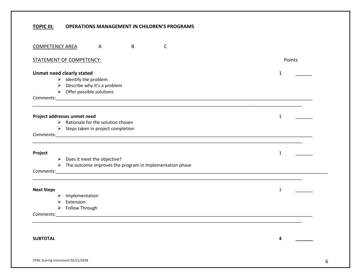### **TOPIC III: OPERATIONS MANAGEMENT IN CHILDREN'S PROGRAMS**

| B<br>$\mathsf{C}$<br><b>COMPETENCY AREA</b><br>$\overline{A}$                                                                                                          |              |   |
|------------------------------------------------------------------------------------------------------------------------------------------------------------------------|--------------|---|
| <b>STATEMENT OF COMPETENCY:</b>                                                                                                                                        | Points       |   |
| <b>Unmet need clearly stated</b><br>$\triangleright$ Identify the problem<br>$\triangleright$ Describe why it's a problem<br>$\triangleright$ Offer possible solutions | $\mathbf{1}$ |   |
| Project addresses unmet need<br>$\triangleright$ Rationale for the solution chosen<br>$\triangleright$ Steps taken in project completion                               | $\mathbf{1}$ |   |
| Project<br>$\triangleright$ Does it meet the objective?<br>$\triangleright$ The outcome improves the program in implementation phase                                   | $\mathbf{1}$ |   |
| <b>Next Steps</b><br>Implementation<br>➤<br>Extension<br>➤<br>$\triangleright$ Follow Through                                                                          | $\mathbf{1}$ |   |
| <b>SUBTOTAL</b>                                                                                                                                                        | 4            |   |
| CPAC Scoring Instrument 02/21/2018                                                                                                                                     |              | 6 |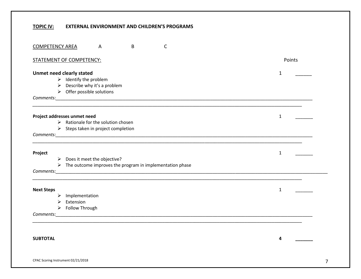#### **TOPIC IV: EXTERNAL ENVIRONMENT AND CHILDREN'S PROGRAMS**

| $\mathsf{C}$<br>B<br><u>COMPETENCY AREA</u><br>A                                                                                                                       |              |
|------------------------------------------------------------------------------------------------------------------------------------------------------------------------|--------------|
| <b>STATEMENT OF COMPETENCY:</b>                                                                                                                                        | Points       |
| <b>Unmet need clearly stated</b><br>$\triangleright$ Identify the problem<br>$\triangleright$ Describe why it's a problem<br>$\triangleright$ Offer possible solutions | 1            |
| Project addresses unmet need<br>$\triangleright$ Rationale for the solution chosen<br>$\triangleright$ Steps taken in project completion                               | $\mathbf{1}$ |
| Project<br>$\triangleright$ Does it meet the objective?<br>$\triangleright$ The outcome improves the program in implementation phase                                   | $\mathbf{1}$ |
| <b>Next Steps</b><br>Implementation<br>➤<br>Extension<br>➤<br>$\triangleright$ Follow Through                                                                          | $\mathbf{1}$ |
| <b>SUBTOTAL</b>                                                                                                                                                        | 4            |
| CPAC Scoring Instrument 02/21/2018                                                                                                                                     | 7            |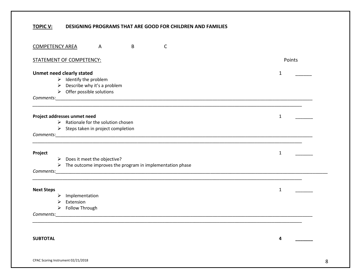### **TOPIC V: DESIGNING PROGRAMS THAT ARE GOOD FOR CHILDREN AND FAMILIES**

| $\mathsf{C}$<br>B<br><b>COMPETENCY AREA</b><br>$\overline{A}$                                                                                                          |              |
|------------------------------------------------------------------------------------------------------------------------------------------------------------------------|--------------|
| STATEMENT OF COMPETENCY:                                                                                                                                               | Points       |
| <b>Unmet need clearly stated</b><br>$\triangleright$ Identify the problem<br>$\triangleright$ Describe why it's a problem<br>$\triangleright$ Offer possible solutions | $\mathbf{1}$ |
| Project addresses unmet need<br>$\triangleright$ Rationale for the solution chosen<br>$\triangleright$ Steps taken in project completion                               | $\mathbf{1}$ |
| Project<br>$\triangleright$ Does it meet the objective?<br>$\triangleright$ The outcome improves the program in implementation phase                                   | $\mathbf{1}$ |
| <b>Next Steps</b><br>$\triangleright$ Implementation<br>$\triangleright$ Extension<br>$\triangleright$ Follow Through                                                  | $\mathbf{1}$ |
| <b>SUBTOTAL</b>                                                                                                                                                        | 4            |
| CPAC Scoring Instrument 02/21/2018                                                                                                                                     | 8            |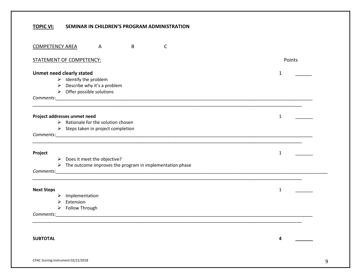#### **TOPIC VI: SEMINAR IN CHILDREN'S PROGRAM ADMINISTRATION**

| $\mathsf{C}$<br><b>COMPETENCY AREA</b><br>B<br>A                                                                                                                       |              |
|------------------------------------------------------------------------------------------------------------------------------------------------------------------------|--------------|
| STATEMENT OF COMPETENCY:                                                                                                                                               | Points       |
| <b>Unmet need clearly stated</b><br>$\triangleright$ Identify the problem<br>$\triangleright$ Describe why it's a problem<br>$\triangleright$ Offer possible solutions | $\mathbf{1}$ |
| Project addresses unmet need<br>$\triangleright$ Rationale for the solution chosen<br>$\triangleright$ Steps taken in project completion                               | $\mathbf{1}$ |
| Project<br>$\triangleright$ Does it meet the objective?<br>$\triangleright$ The outcome improves the program in implementation phase                                   | $\mathbf{1}$ |
| <b>Next Steps</b><br>Implementation<br>➤<br>Extension<br>⋗<br>$\triangleright$ Follow Through                                                                          | $\mathbf{1}$ |
| <b>SUBTOTAL</b>                                                                                                                                                        | 4            |
| CPAC Scoring Instrument 02/21/2018                                                                                                                                     | 9            |